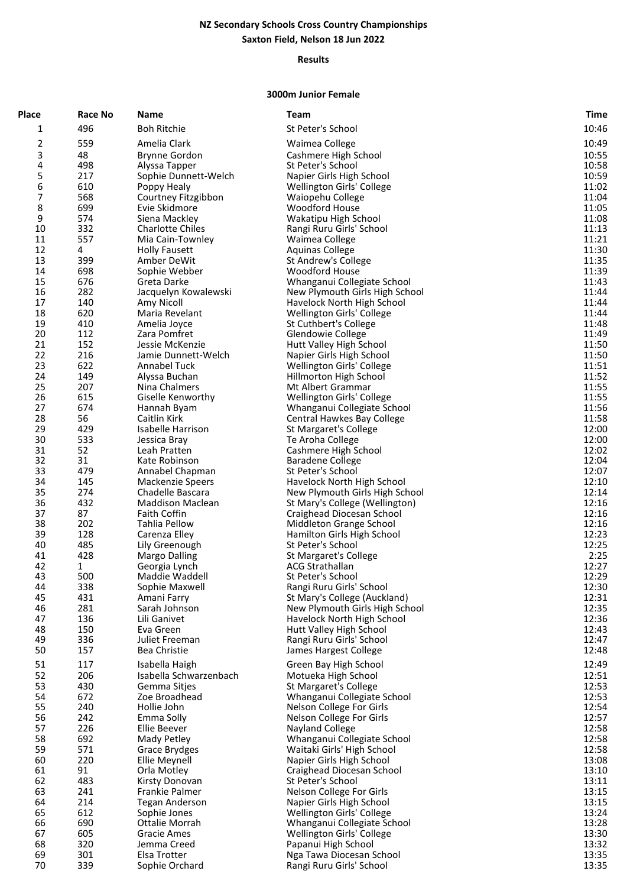## **NZ Secondary Schools Cross Country Championships Saxton Field, Nelson 18 Jun 2022**

## **Results**

## **3000m Junior Female**

| Place    | <b>Race No</b> | <b>Name</b>                              | <b>Team</b>                                                      | Time           |
|----------|----------------|------------------------------------------|------------------------------------------------------------------|----------------|
| 1        | 496            | <b>Boh Ritchie</b>                       | St Peter's School                                                | 10:46          |
| 2        | 559            | Amelia Clark                             | Waimea College                                                   | 10:49          |
| 3        | 48             | Brynne Gordon                            | Cashmere High School                                             | 10:55          |
| 4        | 498            | Alyssa Tapper                            | St Peter's School                                                | 10:58          |
| 5        | 217            | Sophie Dunnett-Welch                     | Napier Girls High School                                         | 10:59          |
| 6        | 610            | Poppy Healy                              | Wellington Girls' College                                        | 11:02          |
| 7        | 568            | Courtney Fitzgibbon                      | Waiopehu College                                                 | 11:04          |
| 8        | 699            | Evie Skidmore                            | <b>Woodford House</b>                                            | 11:05          |
| 9        | 574            | Siena Mackley                            | Wakatipu High School                                             | 11:08          |
| 10       | 332            | <b>Charlotte Chiles</b>                  | Rangi Ruru Girls' School                                         | 11:13          |
| 11       | 557            | Mia Cain-Townley                         | Waimea College                                                   | 11:21          |
| 12       | 4              | <b>Holly Fausett</b>                     | <b>Aquinas College</b>                                           | 11:30          |
| 13       | 399            | Amber DeWit                              | St Andrew's College                                              | 11:35          |
| 14       | 698            | Sophie Webber                            | <b>Woodford House</b>                                            | 11:39          |
| 15       | 676            | Greta Darke                              | Whanganui Collegiate School                                      | 11:43          |
| 16       | 282            | Jacquelyn Kowalewski                     | New Plymouth Girls High School                                   | 11:44          |
| 17       | 140            | Amy Nicoll                               | Havelock North High School                                       | 11:44          |
| 18       | 620            | Maria Revelant                           | Wellington Girls' College                                        | 11:44          |
| 19<br>20 | 410<br>112     | Amelia Joyce<br>Zara Pomfret             | St Cuthbert's College                                            | 11:48          |
| 21       | 152            | Jessie McKenzie                          | Glendowie College<br>Hutt Valley High School                     | 11:49<br>11:50 |
| 22       | 216            | Jamie Dunnett-Welch                      | Napier Girls High School                                         | 11:50          |
| 23       | 622            | Annabel Tuck                             | Wellington Girls' College                                        | 11:51          |
| 24       | 149            | Alyssa Buchan                            | Hillmorton High School                                           | 11:52          |
| 25       | 207            | Nina Chalmers                            | Mt Albert Grammar                                                | 11:55          |
| 26       | 615            | Giselle Kenworthy                        | Wellington Girls' College                                        | 11:55          |
| 27       | 674            | Hannah Byam                              | Whanganui Collegiate School                                      | 11:56          |
| 28       | 56             | Caitlin Kirk                             | Central Hawkes Bay College                                       | 11:58          |
| 29       | 429            | Isabelle Harrison                        | St Margaret's College                                            | 12:00          |
| 30       | 533            | Jessica Bray                             | Te Aroha College                                                 | 12:00          |
| 31       | 52             | Leah Pratten                             | Cashmere High School                                             | 12:02          |
| 32       | 31             | Kate Robinson                            | <b>Baradene College</b>                                          | 12:04          |
| 33       | 479            | Annabel Chapman                          | St Peter's School                                                | 12:07          |
| 34<br>35 | 145<br>274     | Mackenzie Speers<br>Chadelle Bascara     | Havelock North High School                                       | 12:10<br>12:14 |
| 36       | 432            | <b>Maddison Maclean</b>                  | New Plymouth Girls High School<br>St Mary's College (Wellington) | 12:16          |
| 37       | 87             | Faith Coffin                             | Craighead Diocesan School                                        | 12:16          |
| 38       | 202            | Tahlia Pellow                            | Middleton Grange School                                          | 12:16          |
| 39       | 128            | Carenza Elley                            | Hamilton Girls High School                                       | 12:23          |
| 40       | 485            | Lily Greenough                           | St Peter's School                                                | 12:25          |
| 41       | 428            | <b>Margo Dalling</b>                     | St Margaret's College                                            | 2:25           |
| 42       | 1              | Georgia Lynch                            | <b>ACG Strathallan</b>                                           | 12:27          |
| 43       | 500            | Maddie Waddell                           | St Peter's School                                                | 12:29          |
| 44       | 338            | Sophie Maxwell                           | Rangi Ruru Girls' School                                         | 12:30          |
| 45       | 431            | Amani Farry                              | St Mary's College (Auckland)                                     | 12:31          |
| 46<br>47 | 281<br>136     | Sarah Johnson<br>Lili Ganivet            | New Plymouth Girls High School                                   | 12:35<br>12:36 |
| 48       | 150            | Eva Green                                | Havelock North High School<br>Hutt Valley High School            | 12:43          |
| 49       | 336            | Juliet Freeman                           | Rangi Ruru Girls' School                                         | 12:47          |
| 50       | 157            | <b>Bea Christie</b>                      | James Hargest College                                            | 12:48          |
| 51       | 117            |                                          |                                                                  | 12:49          |
| 52       | 206            | Isabella Haigh<br>Isabella Schwarzenbach | Green Bay High School                                            | 12:51          |
| 53       | 430            | Gemma Sitjes                             | Motueka High School<br>St Margaret's College                     | 12:53          |
| 54       | 672            | Zoe Broadhead                            | Whanganui Collegiate School                                      | 12:53          |
| 55       | 240            | Hollie John                              | Nelson College For Girls                                         | 12:54          |
| 56       | 242            | Emma Solly                               | Nelson College For Girls                                         | 12:57          |
| 57       | 226            | Ellie Beever                             | <b>Nayland College</b>                                           | 12:58          |
| 58       | 692            | Mady Petley                              | Whanganui Collegiate School                                      | 12:58          |
| 59       | 571            | Grace Brydges                            | Waitaki Girls' High School                                       | 12:58          |
| 60       | 220            | Ellie Meynell                            | Napier Girls High School                                         | 13:08          |
| 61       | 91             | Orla Motley                              | Craighead Diocesan School                                        | 13:10          |
| 62       | 483            | Kirsty Donovan                           | St Peter's School                                                | 13:11          |
| 63       | 241            | Frankie Palmer                           | Nelson College For Girls                                         | 13:15          |
| 64       | 214            | <b>Tegan Anderson</b>                    | Napier Girls High School                                         | 13:15          |
| 65<br>66 | 612<br>690     | Sophie Jones<br>Ottalie Morrah           | Wellington Girls' College                                        | 13:24          |
| 67       | 605            | Gracie Ames                              | Whanganui Collegiate School<br>Wellington Girls' College         | 13:28<br>13:30 |
| 68       | 320            | Jemma Creed                              | Papanui High School                                              | 13:32          |
| 69       | 301            | Elsa Trotter                             | Nga Tawa Diocesan School                                         | 13:35          |
| 70       | 339            | Sophie Orchard                           | Rangi Ruru Girls' School                                         | 13:35          |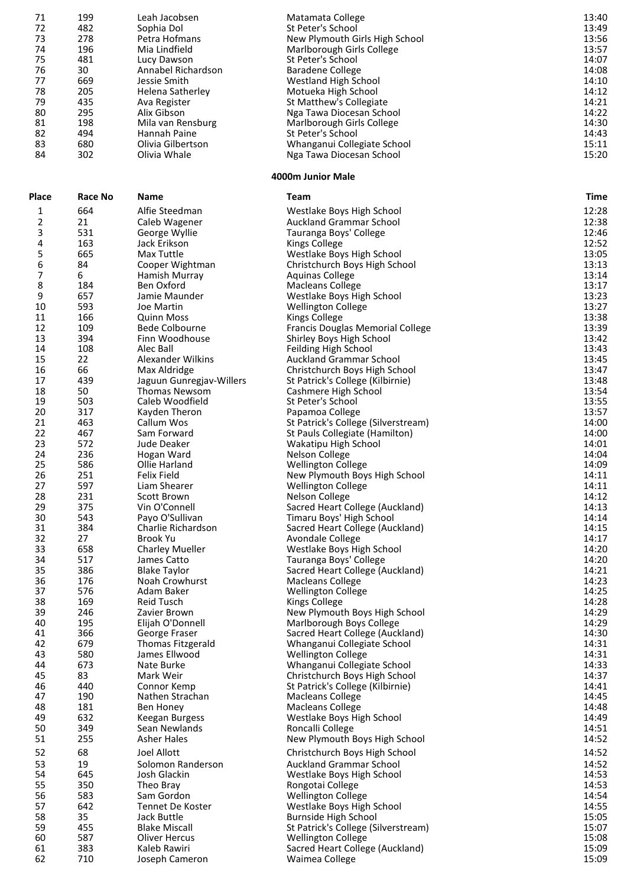| 71           | 199     | Leah Jacobsen            | Matamata College                    | 13:40       |
|--------------|---------|--------------------------|-------------------------------------|-------------|
| 72           | 482     | Sophia Dol               | St Peter's School                   | 13:49       |
| 73           | 278     | Petra Hofmans            | New Plymouth Girls High School      | 13:56       |
| 74           | 196     | Mia Lindfield            | Marlborough Girls College           | 13:57       |
| 75           | 481     | Lucy Dawson              | St Peter's School                   | 14:07       |
| 76           | 30      | Annabel Richardson       | <b>Baradene College</b>             | 14:08       |
| 77           | 669     | Jessie Smith             | <b>Westland High School</b>         | 14:10       |
| 78           | 205     |                          | Motueka High School                 | 14:12       |
|              |         | Helena Satherley         |                                     |             |
| 79           | 435     | Ava Register             | St Matthew's Collegiate             | 14:21       |
| 80           | 295     | Alix Gibson              | Nga Tawa Diocesan School            | 14:22       |
| 81           | 198     | Mila van Rensburg        | Marlborough Girls College           | 14:30       |
| 82           | 494     | Hannah Paine             | St Peter's School                   | 14:43       |
| 83           | 680     | Olivia Gilbertson        | Whanganui Collegiate School         | 15:11       |
| 84           | 302     | Olivia Whale             | Nga Tawa Diocesan School            | 15:20       |
|              |         |                          | 4000m Junior Male                   |             |
| <b>Place</b> | Race No | Name                     | Team                                | <b>Time</b> |
| 1            | 664     | Alfie Steedman           | Westlake Boys High School           | 12:28       |
| 2            | 21      | Caleb Wagener            | <b>Auckland Grammar School</b>      | 12:38       |
| 3            | 531     | George Wyllie            | Tauranga Boys' College              | 12:46       |
| 4            | 163     | Jack Erikson             | <b>Kings College</b>                | 12:52       |
| 5            | 665     | Max Tuttle               | Westlake Boys High School           | 13:05       |
| 6            | 84      | Cooper Wightman          | Christchurch Boys High School       | 13:13       |
| 7            | 6       | Hamish Murray            | <b>Aquinas College</b>              | 13:14       |
| 8            | 184     | <b>Ben Oxford</b>        | <b>Macleans College</b>             | 13:17       |
| 9            |         |                          |                                     |             |
|              | 657     | Jamie Maunder            | Westlake Boys High School           | 13:23       |
| 10           | 593     | Joe Martin               | <b>Wellington College</b>           | 13:27       |
| 11           | 166     | <b>Quinn Moss</b>        | <b>Kings College</b>                | 13:38       |
| 12           | 109     | <b>Bede Colbourne</b>    | Francis Douglas Memorial College    | 13:39       |
| 13           | 394     | Finn Woodhouse           | Shirley Boys High School            | 13:42       |
| 14           | 108     | Alec Ball                | Feilding High School                | 13:43       |
| 15           | 22      | Alexander Wilkins        | Auckland Grammar School             | 13:45       |
| 16           | 66      | Max Aldridge             | Christchurch Boys High School       | 13:47       |
| 17           | 439     | Jaguun Gunregjav-Willers | St Patrick's College (Kilbirnie)    | 13:48       |
| 18           | 50      | <b>Thomas Newsom</b>     | Cashmere High School                | 13:54       |
| 19           | 503     | Caleb Woodfield          | St Peter's School                   | 13:55       |
| 20           | 317     | Kayden Theron            | Papamoa College                     | 13:57       |
| 21           | 463     | Callum Wos               | St Patrick's College (Silverstream) | 14:00       |
| 22           | 467     | Sam Forward              | St Pauls Collegiate (Hamilton)      | 14:00       |
| 23           | 572     | Jude Deaker              | Wakatipu High School                | 14:01       |
| 24           | 236     | Hogan Ward               | Nelson College                      | 14:04       |
| 25           | 586     | Ollie Harland            | <b>Wellington College</b>           | 14:09       |
| 26           | 251     | <b>Felix Field</b>       | New Plymouth Boys High School       | 14:11       |
| 27           | 597     | Liam Shearer             | <b>Wellington College</b>           | 14:11       |
| 28           | 231     | Scott Brown              | Nelson College                      | 14:12       |
| 29           | 375     | Vin O'Connell            | Sacred Heart College (Auckland)     | 14:13       |
| 30           | 543     | Payo O'Sullivan          | Timaru Boys' High School            | 14:14       |
| 31           | 384     | Charlie Richardson       | Sacred Heart College (Auckland)     | 14:15       |
|              |         |                          |                                     |             |
| 32           | 27      | <b>Brook Yu</b>          | Avondale College                    | 14:17       |
| 33           | 658     | <b>Charley Mueller</b>   | Westlake Boys High School           | 14:20       |
| 34           | 517     | James Catto              | Tauranga Boys' College              | 14:20       |
| 35           | 386     | <b>Blake Taylor</b>      | Sacred Heart College (Auckland)     | 14:21       |
| 36           | 176     | Noah Crowhurst           | Macleans College                    | 14:23       |
| 37           | 576     | Adam Baker               | <b>Wellington College</b>           | 14:25       |
| 38           | 169     | Reid Tusch               | <b>Kings College</b>                | 14:28       |
| 39           | 246     | Zavier Brown             | New Plymouth Boys High School       | 14:29       |
| 40           | 195     | Elijah O'Donnell         | Marlborough Boys College            | 14:29       |
| 41           | 366     | George Fraser            | Sacred Heart College (Auckland)     | 14:30       |
| 42           | 679     | <b>Thomas Fitzgerald</b> | Whanganui Collegiate School         | 14:31       |
| 43           | 580     | James Ellwood            | <b>Wellington College</b>           | 14:31       |
| 44           | 673     | Nate Burke               | Whanganui Collegiate School         | 14:33       |
| 45           | 83      | Mark Weir                | Christchurch Boys High School       | 14:37       |
| 46           | 440     | Connor Kemp              | St Patrick's College (Kilbirnie)    | 14:41       |
| 47           | 190     | Nathen Strachan          | <b>Macleans College</b>             | 14:45       |
| 48           | 181     | Ben Honey                | <b>Macleans College</b>             | 14:48       |
| 49           | 632     | Keegan Burgess           | Westlake Boys High School           | 14:49       |
| 50           | 349     | Sean Newlands            | Roncalli College                    | 14:51       |
| 51           | 255     | <b>Asher Hales</b>       |                                     | 14:52       |
|              |         |                          | New Plymouth Boys High School       |             |
| 52           | 68      | <b>Joel Allott</b>       | Christchurch Boys High School       | 14:52       |
| 53           | 19      | Solomon Randerson        | <b>Auckland Grammar School</b>      | 14:52       |
| 54           | 645     | Josh Glackin             | Westlake Boys High School           | 14:53       |
| 55           | 350     | Theo Bray                | Rongotai College                    | 14:53       |
| 56           | 583     | Sam Gordon               | <b>Wellington College</b>           | 14:54       |
| 57           | 642     | Tennet De Koster         | Westlake Boys High School           | 14:55       |
| 58           | 35      | Jack Buttle              | Burnside High School                | 15:05       |
| 59           | 455     | <b>Blake Miscall</b>     | St Patrick's College (Silverstream) | 15:07       |
| 60           | 587     | <b>Oliver Hercus</b>     | <b>Wellington College</b>           | 15:08       |
| 61           | 383     | Kaleb Rawiri             | Sacred Heart College (Auckland)     | 15:09       |
| 62           | 710     | Joseph Cameron           | Waimea College                      | 15:09       |
|              |         |                          |                                     |             |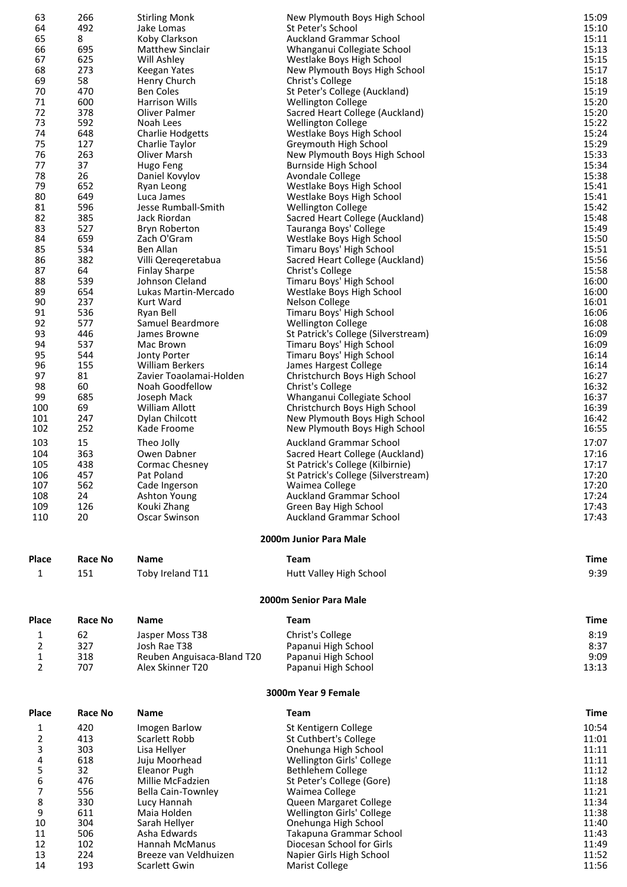| 63             | 266            | <b>Stirling Monk</b>                   | New Plymouth Boys High School                         | 15:09          |
|----------------|----------------|----------------------------------------|-------------------------------------------------------|----------------|
| 64             | 492            | Jake Lomas                             | St Peter's School                                     | 15:10          |
| 65             | 8              | Koby Clarkson                          | <b>Auckland Grammar School</b>                        | 15:11          |
| 66             | 695            | Matthew Sinclair                       | Whanganui Collegiate School                           | 15:13          |
| 67             | 625            | Will Ashley                            | Westlake Boys High School                             | 15:15          |
| 68             | 273            | Keegan Yates                           | New Plymouth Boys High School                         | 15:17          |
| 69             | 58             | Henry Church                           | Christ's College                                      | 15:18          |
| 70             | 470            | <b>Ben Coles</b>                       | St Peter's College (Auckland)                         | 15:19          |
| 71             | 600            | <b>Harrison Wills</b>                  | <b>Wellington College</b>                             | 15:20          |
| 72             | 378            | Oliver Palmer                          | Sacred Heart College (Auckland)                       | 15:20          |
| 73             | 592            | Noah Lees                              | <b>Wellington College</b>                             | 15:22          |
| 74<br>75       | 648<br>127     | <b>Charlie Hodgetts</b>                | Westlake Boys High School                             | 15:24<br>15:29 |
| 76             | 263            | Charlie Taylor<br>Oliver Marsh         | Greymouth High School                                 | 15:33          |
| 77             | 37             | Hugo Feng                              | New Plymouth Boys High School<br>Burnside High School | 15:34          |
| 78             | 26             | Daniel Kovylov                         | Avondale College                                      | 15:38          |
| 79             | 652            | Ryan Leong                             | Westlake Boys High School                             | 15:41          |
| 80             | 649            | Luca James                             | Westlake Boys High School                             | 15:41          |
| 81             | 596            | Jesse Rumball-Smith                    | <b>Wellington College</b>                             | 15:42          |
| 82             | 385            | Jack Riordan                           | Sacred Heart College (Auckland)                       | 15:48          |
| 83             | 527            | Bryn Roberton                          | Tauranga Boys' College                                | 15:49          |
| 84             | 659            | Zach O'Gram                            | Westlake Boys High School                             | 15:50          |
| 85             | 534            | Ben Allan                              | Timaru Boys' High School                              | 15:51          |
| 86             | 382            | Villi Qereqeretabua                    | Sacred Heart College (Auckland)                       | 15:56          |
| 87             | 64             | <b>Finlay Sharpe</b>                   | Christ's College                                      | 15:58          |
| 88             | 539            | Johnson Cleland                        | Timaru Boys' High School                              | 16:00          |
| 89             | 654            | Lukas Martin-Mercado                   | Westlake Boys High School                             | 16:00          |
| 90             | 237            | Kurt Ward                              | Nelson College                                        | 16:01          |
| 91             | 536            | Ryan Bell                              | Timaru Boys' High School                              | 16:06          |
| 92             | 577            | Samuel Beardmore                       | <b>Wellington College</b>                             | 16:08          |
| 93             | 446            | James Browne                           | St Patrick's College (Silverstream)                   | 16:09          |
| 94             | 537            | Mac Brown                              | Timaru Boys' High School                              | 16:09          |
| 95             | 544            | Jonty Porter                           | Timaru Boys' High School                              | 16:14          |
| 96             | 155            | <b>William Berkers</b>                 | James Hargest College                                 | 16:14          |
| 97             | 81             | Zavier Toaolamai-Holden                | Christchurch Boys High School                         | 16:27          |
| 98             | 60             | Noah Goodfellow                        | Christ's College                                      | 16:32          |
| 99             | 685            | Joseph Mack                            | Whanganui Collegiate School                           | 16:37          |
| 100            | 69             | William Allott                         | Christchurch Boys High School                         | 16:39          |
| 101            | 247            | Dylan Chilcott                         | New Plymouth Boys High School                         | 16:42          |
| 102            | 252            | Kade Froome                            | New Plymouth Boys High School                         | 16:55          |
| 103            | 15             | Theo Jolly                             | <b>Auckland Grammar School</b>                        | 17:07          |
| 104            | 363            | Owen Dabner                            | Sacred Heart College (Auckland)                       | 17:16          |
| 105            | 438            | Cormac Chesney                         | St Patrick's College (Kilbirnie)                      | 17:17          |
| 106            | 457            | Pat Poland                             | St Patrick's College (Silverstream)                   | 17:20          |
| 107            | 562            | Cade Ingerson                          | Waimea College                                        | 17:20          |
| 108            | 24             | Ashton Young                           | <b>Auckland Grammar School</b>                        | 17:24          |
| 109            | 126            | Kouki Zhang                            | Green Bay High School                                 | 17:43          |
| 110            | 20             | Oscar Swinson                          | <b>Auckland Grammar School</b>                        | 17:43          |
|                |                |                                        | 2000m Junior Para Male                                |                |
|                |                |                                        |                                                       |                |
| Place          | Race No        | <b>Name</b>                            | <b>Team</b>                                           | <b>Time</b>    |
| 1              | 151            | Toby Ireland T11                       | Hutt Valley High School                               | 9:39           |
|                |                |                                        | 2000m Senior Para Male                                |                |
|                |                |                                        |                                                       |                |
| Place          | Race No        | Name                                   | Team                                                  | Time           |
| 1              | 62             | Jasper Moss T38                        | Christ's College                                      | 8:19           |
| 2              | 327            | Josh Rae T38                           | Papanui High School                                   | 8:37           |
| $\mathbf{1}$   | 318            | Reuben Anguisaca-Bland T20             | Papanui High School                                   | 9:09           |
| 2              | 707            | Alex Skinner T20                       | Papanui High School                                   | 13:13          |
|                |                |                                        |                                                       |                |
|                |                |                                        | 3000m Year 9 Female                                   |                |
| Place          | <b>Race No</b> | Name                                   | Team                                                  | Time           |
| 1              | 420            | Imogen Barlow                          | St Kentigern College                                  | 10:54          |
| $\overline{2}$ | 413            | Scarlett Robb                          | St Cuthbert's College                                 | 11:01          |
| 3              | 303            | Lisa Hellyer                           | Onehunga High School                                  | 11:11          |
| 4              | 618            | Juju Moorhead                          | Wellington Girls' College                             | 11:11          |
| 5              | 32             | <b>Eleanor Pugh</b>                    | <b>Bethlehem College</b>                              | 11:12          |
| 6              | 476            | Millie McFadzien                       | St Peter's College (Gore)                             | 11:18          |
| 7              | 556            | Bella Cain-Townley                     | Waimea College                                        | 11:21          |
| 8              | 330            | Lucy Hannah                            | Queen Margaret College                                | 11:34          |
| 9              | 611            | Maia Holden                            | Wellington Girls' College                             | 11:38          |
| 10             | 304            | Sarah Hellyer                          | Onehunga High School                                  | 11:40          |
| 11             | 506            | Asha Edwards                           | Takapuna Grammar School                               | 11:43          |
| 12             | 102            | Hannah McManus                         | Diocesan School for Girls                             | 11:49          |
| 13             | 224<br>193     | Breeze van Veldhuizen<br>Scarlett Gwin | Napier Girls High School<br><b>Marist College</b>     | 11:52<br>11:56 |
| 14             |                |                                        |                                                       |                |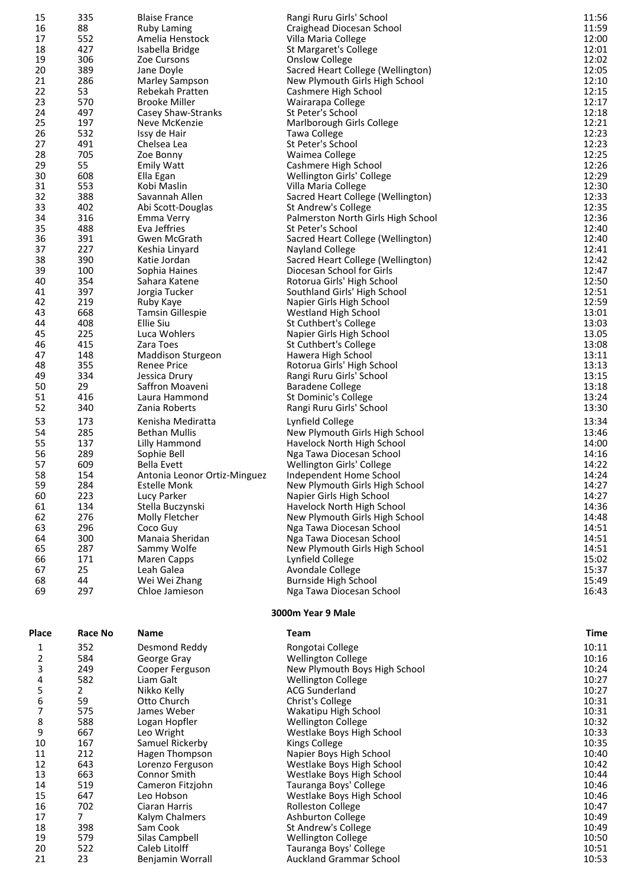| 15           | 335            | <b>Blaise France</b>                                | Rangi Ruru Girls' School                                  | 11:56          |
|--------------|----------------|-----------------------------------------------------|-----------------------------------------------------------|----------------|
| 16           | 88             | <b>Ruby Laming</b>                                  | Craighead Diocesan School                                 | 11:59          |
| 17           | 552            | Amelia Henstock                                     | Villa Maria College                                       | 12:00          |
| 18<br>19     | 427<br>306     | Isabella Bridge<br>Zoe Cursons                      | St Margaret's College<br><b>Onslow College</b>            | 12:01<br>12:02 |
| 20           | 389            | Jane Doyle                                          | Sacred Heart College (Wellington)                         | 12:05          |
| 21           | 286            | Marley Sampson                                      | New Plymouth Girls High School                            | 12:10          |
| 22           | 53             | Rebekah Pratten                                     | Cashmere High School                                      | 12:15          |
| 23           | 570            | <b>Brooke Miller</b>                                | Wairarapa College                                         | 12:17          |
| 24           | 497            | Casey Shaw-Stranks                                  | St Peter's School                                         | 12:18          |
| 25           | 197            | Neve McKenzie                                       | Marlborough Girls College                                 | 12:21          |
| 26           | 532            | Issy de Hair                                        | Tawa College                                              | 12:23          |
| 27           | 491            | Chelsea Lea                                         | St Peter's School                                         | 12:23          |
| 28           | 705            | Zoe Bonny                                           | Waimea College                                            | 12:25          |
| 29<br>30     | 55<br>608      | <b>Emily Watt</b>                                   | Cashmere High School                                      | 12:26<br>12:29 |
| 31           | 553            | Ella Egan<br>Kobi Maslin                            | Wellington Girls' College<br>Villa Maria College          | 12:30          |
| 32           | 388            | Savannah Allen                                      | Sacred Heart College (Wellington)                         | 12:33          |
| 33           | 402            | Abi Scott-Douglas                                   | St Andrew's College                                       | 12:35          |
| 34           | 316            | Emma Verry                                          | Palmerston North Girls High School                        | 12:36          |
| 35           | 488            | Eva Jeffries                                        | St Peter's School                                         | 12:40          |
| 36           | 391            | Gwen McGrath                                        | Sacred Heart College (Wellington)                         | 12:40          |
| 37           | 227            | Keshia Linyard                                      | Nayland College                                           | 12:41          |
| 38           | 390            | Katie Jordan                                        | Sacred Heart College (Wellington)                         | 12:42          |
| 39           | 100            | Sophia Haines                                       | Diocesan School for Girls                                 | 12:47          |
| 40           | 354            | Sahara Katene                                       | Rotorua Girls' High School                                | 12:50          |
| 41           | 397            | Jorgia Tucker                                       | Southland Girls' High School                              | 12:51          |
| 42<br>43     | 219<br>668     | Ruby Kaye                                           | Napier Girls High School<br>Westland High School          | 12:59<br>13:01 |
| 44           | 408            | <b>Tamsin Gillespie</b><br><b>Ellie Siu</b>         | St Cuthbert's College                                     | 13:03          |
| 45           | 225            | Luca Wohlers                                        | Napier Girls High School                                  | 13.05          |
| 46           | 415            | Zara Toes                                           | St Cuthbert's College                                     | 13:08          |
| 47           | 148            | <b>Maddison Sturgeon</b>                            | Hawera High School                                        | 13:11          |
| 48           | 355            | <b>Renee Price</b>                                  | Rotorua Girls' High School                                | 13:13          |
| 49           | 334            | Jessica Drury                                       | Rangi Ruru Girls' School                                  | 13:15          |
| 50           | 29             | Saffron Moaveni                                     | <b>Baradene College</b>                                   | 13:18          |
| 51           | 416            | Laura Hammond                                       | St Dominic's College                                      | 13:24          |
| 52           | 340            | Zania Roberts                                       | Rangi Ruru Girls' School                                  | 13:30          |
| 53           | 173            | Kenisha Mediratta                                   | Lynfield College                                          | 13:34          |
| 54           | 285            | <b>Bethan Mullis</b>                                | New Plymouth Girls High School                            | 13:46          |
| 55           | 137            | Lilly Hammond                                       | Havelock North High School                                | 14:00          |
| 56           | 289            | Sophie Bell                                         | Nga Tawa Diocesan School                                  | 14:16          |
| 57           | 609            | <b>Bella Evett</b>                                  | Wellington Girls' College                                 | 14:22          |
| 58<br>59     | 154<br>284     | Antonia Leonor Ortiz-Minguez<br><b>Estelle Monk</b> | Independent Home School<br>New Plymouth Girls High School | 14:24<br>14:27 |
| 60           | 223            | Lucy Parker                                         | Napier Girls High School                                  | 14:27          |
| 61           | 134            | Stella Buczynski                                    | Havelock North High School                                | 14:36          |
| 62           | 276            | Molly Fletcher                                      | New Plymouth Girls High School                            | 14:48          |
| 63           | 296            | Coco Guy                                            | Nga Tawa Diocesan School                                  | 14:51          |
| 64           | 300            | Manaia Sheridan                                     | Nga Tawa Diocesan School                                  | 14:51          |
| 65           | 287            | Sammy Wolfe                                         | New Plymouth Girls High School                            | 14:51          |
| 66           | 171            | Maren Capps                                         | Lynfield College                                          | 15:02          |
| 67           | 25             | Leah Galea                                          | <b>Avondale College</b>                                   | 15:37          |
| 68           | 44             | Wei Wei Zhang                                       | <b>Burnside High School</b>                               | 15:49          |
| 69           | 297            | Chloe Jamieson                                      | Nga Tawa Diocesan School                                  | 16:43          |
| <b>Place</b> | <b>Race No</b> | <b>Name</b>                                         | 3000m Year 9 Male<br>Team                                 | <b>Time</b>    |
|              |                |                                                     |                                                           |                |
| 1            | 352            | Desmond Reddy                                       | Rongotai College                                          | 10:11          |
| 2            | 584            | George Gray                                         | <b>Wellington College</b>                                 | 10:16          |
| 3            | 249<br>582     | Cooper Ferguson<br>Liam Galt                        | New Plymouth Boys High School                             | 10:24          |
| 4<br>5       | $\overline{2}$ | Nikko Kelly                                         | <b>Wellington College</b><br><b>ACG Sunderland</b>        | 10:27<br>10:27 |
| 6            | 59             | Otto Church                                         | Christ's College                                          | 10:31          |
| 7            | 575            | James Weber                                         | Wakatipu High School                                      | 10:31          |
| 8            | 588            | Logan Hopfler                                       | <b>Wellington College</b>                                 | 10:32          |
| 9            | 667            | Leo Wright                                          | Westlake Boys High School                                 | 10:33          |
| 10           | 167            | Samuel Rickerby                                     | <b>Kings College</b>                                      | 10:35          |
| 11           | 212            | Hagen Thompson                                      | Napier Boys High School                                   | 10:40          |
| 12           | 643            | Lorenzo Ferguson                                    | Westlake Boys High School                                 | 10:42          |
| 13<br>14     | 663<br>519     | Connor Smith                                        | Westlake Boys High School                                 | 10:44<br>10:46 |
| 15           | 647            | Cameron Fitzjohn<br>Leo Hobson                      | Tauranga Boys' College<br>Westlake Boys High School       | 10:46          |
| 16           | 702            | Ciaran Harris                                       | <b>Rolleston College</b>                                  | 10:47          |
| 17           | 7 <sup>1</sup> | Kalym Chalmers                                      | <b>Ashburton College</b>                                  | 10:49          |
| 18           | 398            | Sam Cook                                            | St Andrew's College                                       | 10:49          |
| 19           | 579            | Silas Campbell                                      | <b>Wellington College</b>                                 | 10:50          |
| 20           | 522            | Caleb Litolff                                       | Tauranga Boys' College                                    | 10:51          |
| 21           | 23             | Benjamin Worrall                                    | <b>Auckland Grammar School</b>                            | 10:53          |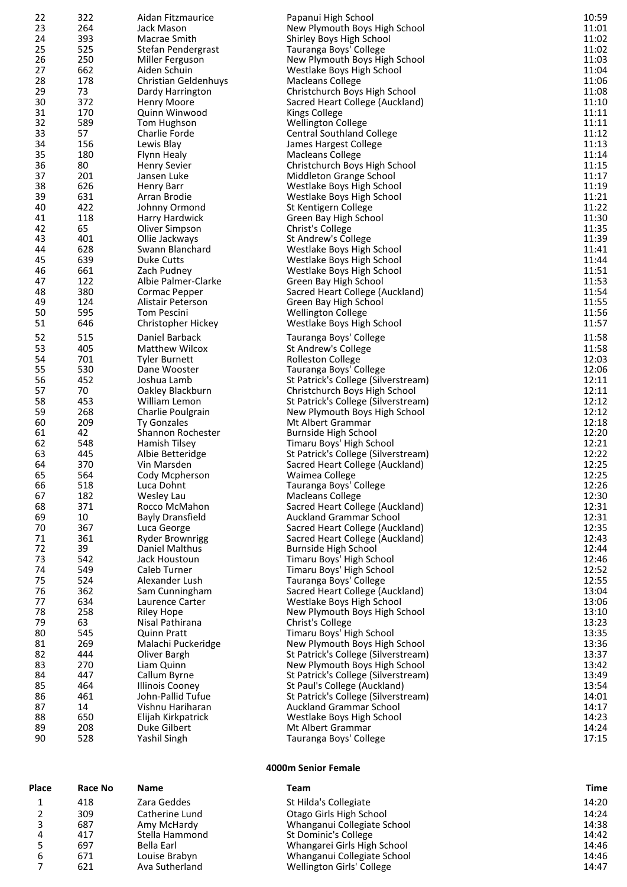| 22       | 322        | Aidan Fitzmaurice                               | Papanui High School                                         | 10:59          |
|----------|------------|-------------------------------------------------|-------------------------------------------------------------|----------------|
| 23       | 264        | Jack Mason                                      | New Plymouth Boys High School                               | 11:01          |
| 24       | 393        | Macrae Smith                                    | Shirley Boys High School                                    | 11:02          |
| 25       | 525        | Stefan Pendergrast                              | Tauranga Boys' College                                      | 11:02          |
| 26       | 250        | Miller Ferguson                                 | New Plymouth Boys High School                               | 11:03          |
| 27       | 662        | Aiden Schuin                                    | Westlake Boys High School                                   | 11:04          |
| 28       | 178        | Christian Geldenhuys                            | Macleans College                                            | 11:06          |
| 29       | 73         | Dardy Harrington                                | Christchurch Boys High School                               | 11:08          |
| 30       | 372        | Henry Moore                                     | Sacred Heart College (Auckland)                             | 11:10          |
| 31<br>32 | 170<br>589 | Quinn Winwood<br>Tom Hughson                    | Kings College<br><b>Wellington College</b>                  | 11:11<br>11:11 |
| 33       | 57         | Charlie Forde                                   | <b>Central Southland College</b>                            | 11:12          |
| 34       | 156        | Lewis Blay                                      | James Hargest College                                       | 11:13          |
| 35       | 180        | Flynn Healy                                     | <b>Macleans College</b>                                     | 11:14          |
| 36       | 80         | <b>Henry Sevier</b>                             | Christchurch Boys High School                               | 11:15          |
| 37       | 201        | Jansen Luke                                     | Middleton Grange School                                     | 11:17          |
| 38       | 626        | Henry Barr                                      | Westlake Boys High School                                   | 11:19          |
| 39       | 631        | Arran Brodie                                    | Westlake Boys High School                                   | 11:21          |
| 40       | 422        | Johnny Ormond                                   | St Kentigern College                                        | 11:22          |
| 41       | 118        | Harry Hardwick                                  | Green Bay High School                                       | 11:30          |
| 42       | 65         | Oliver Simpson                                  | Christ's College                                            | 11:35          |
| 43       | 401        | Ollie Jackways                                  | St Andrew's College                                         | 11:39          |
| 44       | 628        | Swann Blanchard                                 | Westlake Boys High School                                   | 11:41          |
| 45       | 639        | Duke Cutts                                      | Westlake Boys High School                                   | 11:44          |
| 46       | 661        | Zach Pudney                                     | Westlake Boys High School                                   | 11:51          |
| 47       | 122        | Albie Palmer-Clarke                             | Green Bay High School                                       | 11:53          |
| 48<br>49 | 380<br>124 | Cormac Pepper<br>Alistair Peterson              | Sacred Heart College (Auckland)                             | 11:54<br>11:55 |
| 50       | 595        | <b>Tom Pescini</b>                              | Green Bay High School<br><b>Wellington College</b>          | 11:56          |
| 51       | 646        | Christopher Hickey                              | Westlake Boys High School                                   | 11:57          |
|          |            |                                                 |                                                             |                |
| 52       | 515        | Daniel Barback                                  | Tauranga Boys' College                                      | 11:58          |
| 53<br>54 | 405<br>701 | <b>Matthew Wilcox</b>                           | St Andrew's College                                         | 11:58<br>12:03 |
| 55       | 530        | <b>Tyler Burnett</b><br>Dane Wooster            | Rolleston College<br>Tauranga Boys' College                 | 12:06          |
| 56       | 452        | Joshua Lamb                                     | St Patrick's College (Silverstream)                         | 12:11          |
| 57       | 70         | Oakley Blackburn                                | Christchurch Boys High School                               | 12:11          |
| 58       | 453        | William Lemon                                   | St Patrick's College (Silverstream)                         | 12:12          |
| 59       | 268        | Charlie Poulgrain                               | New Plymouth Boys High School                               | 12:12          |
| 60       | 209        | <b>Ty Gonzales</b>                              | Mt Albert Grammar                                           | 12:18          |
| 61       | 42         | Shannon Rochester                               | <b>Burnside High School</b>                                 | 12:20          |
| 62       | 548        | Hamish Tilsey                                   | Timaru Boys' High School                                    | 12:21          |
| 63       | 445        | Albie Betteridge                                | St Patrick's College (Silverstream)                         | 12:22          |
| 64       | 370        | Vin Marsden                                     | Sacred Heart College (Auckland)                             | 12:25          |
| 65       | 564        | Cody Mcpherson                                  | Waimea College                                              | 12:25          |
| 66       | 518        | Luca Dohnt                                      | Tauranga Boys' College                                      | 12:26          |
| 67       | 182        | Wesley Lau                                      | Macleans College                                            | 12:30          |
| 68       | 371        | Rocco McMahon                                   | Sacred Heart College (Auckland)                             | 12:31          |
| 69       | 10         | <b>Bayly Dransfield</b>                         | <b>Auckland Grammar School</b>                              | 12:31          |
| 70<br>71 | 367<br>361 | Luca George                                     | Sacred Heart College (Auckland)                             | 12:35          |
| 72       | 39         | <b>Ryder Brownrigg</b><br><b>Daniel Malthus</b> | Sacred Heart College (Auckland)<br>Burnside High School     | 12:43<br>12:44 |
| 73       | 542        | Jack Houstoun                                   | Timaru Boys' High School                                    | 12:46          |
| 74       | 549        | Caleb Turner                                    | Timaru Boys' High School                                    | 12:52          |
| 75       | 524        | Alexander Lush                                  | Tauranga Boys' College                                      | 12:55          |
| 76       | 362        | Sam Cunningham                                  | Sacred Heart College (Auckland)                             | 13:04          |
| 77       | 634        | Laurence Carter                                 | Westlake Boys High School                                   | 13:06          |
| 78       | 258        | <b>Riley Hope</b>                               | New Plymouth Boys High School                               | 13:10          |
| 79       | 63         | Nisal Pathirana                                 | Christ's College                                            | 13:23          |
| 80       | 545        | <b>Quinn Pratt</b>                              | Timaru Boys' High School                                    | 13:35          |
| 81       | 269        | Malachi Puckeridge                              | New Plymouth Boys High School                               | 13:36          |
| 82       | 444        | Oliver Bargh                                    | St Patrick's College (Silverstream)                         | 13:37          |
| 83       | 270        | Liam Quinn                                      | New Plymouth Boys High School                               | 13:42          |
| 84       | 447        | Callum Byrne                                    | St Patrick's College (Silverstream)                         | 13:49          |
| 85       | 464        | <b>Illinois Cooney</b>                          | St Paul's College (Auckland)                                | 13:54          |
| 86<br>87 | 461        | John-Pallid Tufue                               | St Patrick's College (Silverstream)                         | 14:01          |
| 88       | 14<br>650  | Vishnu Hariharan<br>Elijah Kirkpatrick          | <b>Auckland Grammar School</b><br>Westlake Boys High School | 14:17<br>14:23 |
| 89       | 208        | Duke Gilbert                                    | Mt Albert Grammar                                           | 14:24          |
| 90       | 528        | Yashil Singh                                    | Tauranga Boys' College                                      | 17:15          |
|          |            |                                                 |                                                             |                |
|          |            |                                                 | 4000m Senior Female                                         |                |

| <b>Place</b> | Race No | Name           | Team                        | Time  |
|--------------|---------|----------------|-----------------------------|-------|
|              | 418     | Zara Geddes    | St Hilda's Collegiate       | 14:20 |
|              | 309     | Catherine Lund | Otago Girls High School     | 14:24 |
|              | 687     | Amy McHardy    | Whanganui Collegiate School | 14:38 |
| 4            | 417     | Stella Hammond | St Dominic's College        | 14:42 |
|              | 697     | Bella Earl     | Whangarei Girls High School | 14:46 |
| 6            | 671     | Louise Brabyn  | Whanganui Collegiate School | 14:46 |
|              | 621     | Ava Sutherland | Wellington Girls' College   | 14:47 |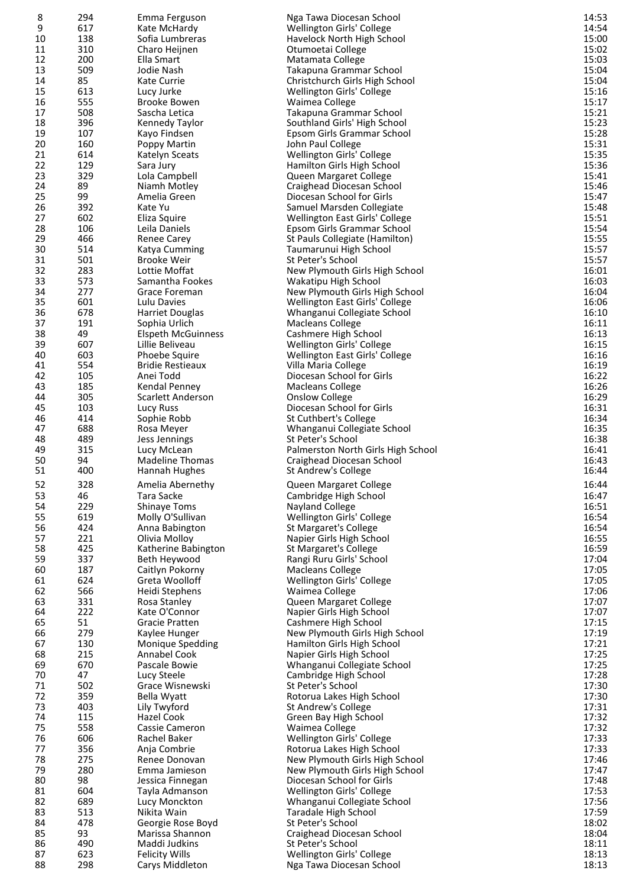| 8        | 294        | Emma Ferguson                          | Nga Tawa Diocesan School                                         | 14:53          |
|----------|------------|----------------------------------------|------------------------------------------------------------------|----------------|
| 9        | 617        | Kate McHardy                           | Wellington Girls' College                                        | 14:54          |
| 10       | 138        | Sofia Lumbreras                        | Havelock North High School                                       | 15:00          |
| 11       | 310        | Charo Heijnen                          | Otumoetai College                                                | 15:02          |
| 12<br>13 | 200<br>509 | Ella Smart<br>Jodie Nash               | Matamata College<br>Takapuna Grammar School                      | 15:03<br>15:04 |
| 14       | 85         | Kate Currie                            | Christchurch Girls High School                                   | 15:04          |
| 15       | 613        | Lucy Jurke                             | Wellington Girls' College                                        | 15:16          |
| 16       | 555        | <b>Brooke Bowen</b>                    | Waimea College                                                   | 15:17          |
| 17       | 508        | Sascha Letica                          | Takapuna Grammar School                                          | 15:21          |
| 18       | 396        | Kennedy Taylor                         | Southland Girls' High School                                     | 15:23          |
| 19       | 107        | Kayo Findsen                           | Epsom Girls Grammar School                                       | 15:28          |
| 20<br>21 | 160<br>614 | Poppy Martin<br>Katelyn Sceats         | John Paul College<br>Wellington Girls' College                   | 15:31<br>15:35 |
| 22       | 129        | Sara Jury                              | Hamilton Girls High School                                       | 15:36          |
| 23       | 329        | Lola Campbell                          | Queen Margaret College                                           | 15:41          |
| 24       | 89         | Niamh Motley                           | Craighead Diocesan School                                        | 15:46          |
| 25       | 99         | Amelia Green                           | Diocesan School for Girls                                        | 15:47          |
| 26       | 392        | Kate Yu                                | Samuel Marsden Collegiate                                        | 15:48          |
| 27<br>28 | 602<br>106 | Eliza Squire<br>Leila Daniels          | Wellington East Girls' College<br>Epsom Girls Grammar School     | 15:51<br>15:54 |
| 29       | 466        | Renee Carey                            | St Pauls Collegiate (Hamilton)                                   | 15:55          |
| 30       | 514        | Katya Cumming                          | Taumarunui High School                                           | 15:57          |
| 31       | 501        | <b>Brooke Weir</b>                     | St Peter's School                                                | 15:57          |
| 32       | 283        | Lottie Moffat                          | New Plymouth Girls High School                                   | 16:01          |
| 33       | 573        | Samantha Fookes                        | Wakatipu High School                                             | 16:03          |
| 34<br>35 | 277<br>601 | Grace Foreman<br>Lulu Davies           | New Plymouth Girls High School<br>Wellington East Girls' College | 16:04<br>16:06 |
| 36       | 678        | <b>Harriet Douglas</b>                 | Whanganui Collegiate School                                      | 16:10          |
| 37       | 191        | Sophia Urlich                          | <b>Macleans College</b>                                          | 16:11          |
| 38       | 49         | <b>Elspeth McGuinness</b>              | Cashmere High School                                             | 16:13          |
| 39       | 607        | Lillie Beliveau                        | Wellington Girls' College                                        | 16:15          |
| 40       | 603        | Phoebe Squire                          | Wellington East Girls' College                                   | 16:16          |
| 41       | 554<br>105 | <b>Bridie Restieaux</b>                | Villa Maria College<br>Diocesan School for Girls                 | 16:19          |
| 42<br>43 | 185        | Anei Todd<br>Kendal Penney             | <b>Macleans College</b>                                          | 16:22<br>16:26 |
| 44       | 305        | Scarlett Anderson                      | Onslow College                                                   | 16:29          |
| 45       | 103        | Lucy Russ                              | Diocesan School for Girls                                        | 16:31          |
| 46       | 414        | Sophie Robb                            | St Cuthbert's College                                            | 16:34          |
| 47       | 688        | Rosa Meyer                             | Whanganui Collegiate School                                      | 16:35          |
| 48       | 489        | Jess Jennings                          | St Peter's School                                                | 16:38          |
| 49<br>50 | 315<br>94  | Lucy McLean<br><b>Madeline Thomas</b>  | Palmerston North Girls High School<br>Craighead Diocesan School  | 16:41<br>16:43 |
| 51       | 400        | Hannah Hughes                          | St Andrew's College                                              | 16:44          |
| 52       | 328        | Amelia Abernethy                       | Queen Margaret College                                           | 16:44          |
| 53       | 46         | Tara Sacke                             | Cambridge High School                                            | 16:47          |
| 54       | 229        | <b>Shinaye Toms</b>                    | Nayland College                                                  | 16:51          |
| 55       | 619        | Molly O'Sullivan                       | Wellington Girls' College                                        | 16:54          |
| 56       | 424        | Anna Babington                         | St Margaret's College                                            | 16:54          |
| 57       | 221        | Olivia Molloy                          | Napier Girls High School                                         | 16:55          |
| 58<br>59 | 425<br>337 | Katherine Babington<br>Beth Heywood    | St Margaret's College<br>Rangi Ruru Girls' School                | 16:59<br>17:04 |
| 60       | 187        | Caitlyn Pokorny                        | <b>Macleans College</b>                                          | 17:05          |
| 61       | 624        | Greta Woolloff                         | Wellington Girls' College                                        | 17:05          |
| 62       | 566        | Heidi Stephens                         | Waimea College                                                   | 17:06          |
| 63       | 331        | Rosa Stanley                           | Queen Margaret College                                           | 17:07          |
| 64       | 222        | Kate O'Connor                          | Napier Girls High School                                         | 17:07          |
| 65       | 51<br>279  | <b>Gracie Pratten</b>                  | Cashmere High School<br>New Plymouth Girls High School           | 17:15<br>17:19 |
| 66<br>67 | 130        | Kaylee Hunger<br>Monique Spedding      | Hamilton Girls High School                                       | 17:21          |
| 68       | 215        | Annabel Cook                           | Napier Girls High School                                         | 17:25          |
| 69       | 670        | Pascale Bowie                          | Whanganui Collegiate School                                      | 17:25          |
| 70       | 47         | Lucy Steele                            | Cambridge High School                                            | 17:28          |
| 71       | 502        | Grace Wisnewski                        | St Peter's School                                                | 17:30          |
| 72       | 359        | Bella Wyatt                            | Rotorua Lakes High School                                        | 17:30          |
| 73<br>74 | 403<br>115 | Lily Twyford<br>Hazel Cook             | St Andrew's College<br>Green Bay High School                     | 17:31<br>17:32 |
| 75       | 558        | Cassie Cameron                         | Waimea College                                                   | 17:32          |
| 76       | 606        | Rachel Baker                           | Wellington Girls' College                                        | 17:33          |
| 77       | 356        | Anja Combrie                           | Rotorua Lakes High School                                        | 17:33          |
| 78       | 275        | Renee Donovan                          | New Plymouth Girls High School                                   | 17:46          |
| 79<br>80 | 280<br>98  | Emma Jamieson                          | New Plymouth Girls High School                                   | 17:47          |
| 81       | 604        | Jessica Finnegan<br>Tayla Admanson     | Diocesan School for Girls<br>Wellington Girls' College           | 17:48<br>17:53 |
| 82       | 689        | Lucy Monckton                          | Whanganui Collegiate School                                      | 17:56          |
| 83       | 513        | Nikita Wain                            | Taradale High School                                             | 17:59          |
| 84       | 478        | Georgie Rose Boyd                      | St Peter's School                                                | 18:02          |
| 85       | 93         | Marissa Shannon                        | Craighead Diocesan School                                        | 18:04          |
| 86<br>87 | 490<br>623 | Maddi Judkins<br><b>Felicity Wills</b> | St Peter's School<br>Wellington Girls' College                   | 18:11<br>18:13 |
| 88       | 298        | Carys Middleton                        | Nga Tawa Diocesan School                                         | 18:13          |
|          |            |                                        |                                                                  |                |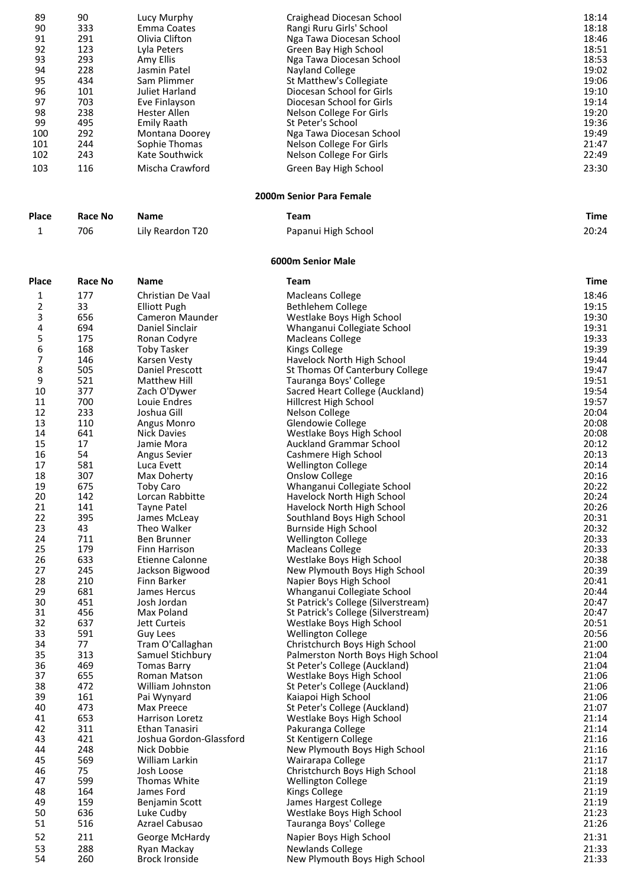| 89         | 90         | Lucy Murphy                               | Craighead Diocesan School                                 | 18:14          |
|------------|------------|-------------------------------------------|-----------------------------------------------------------|----------------|
| 90         | 333        | <b>Emma Coates</b>                        | Rangi Ruru Girls' School                                  | 18:18          |
| 91<br>92   | 291<br>123 | Olivia Clifton<br>Lyla Peters             | Nga Tawa Diocesan School                                  | 18:46<br>18:51 |
| 93         | 293        | Amy Ellis                                 | Green Bay High School<br>Nga Tawa Diocesan School         | 18:53          |
| 94         | 228        | Jasmin Patel                              | <b>Nayland College</b>                                    | 19:02          |
| 95         | 434        | Sam Plimmer                               | St Matthew's Collegiate                                   | 19:06          |
| 96         | 101        | Juliet Harland                            | Diocesan School for Girls                                 | 19:10          |
| 97         | 703        | Eve Finlayson                             | Diocesan School for Girls                                 | 19:14          |
| 98         | 238        | Hester Allen                              | Nelson College For Girls                                  | 19:20          |
| 99         | 495        | <b>Emily Raath</b>                        | St Peter's School                                         | 19:36          |
| 100        | 292        | Montana Doorey                            | Nga Tawa Diocesan School                                  | 19:49          |
| 101<br>102 | 244<br>243 | Sophie Thomas<br>Kate Southwick           | Nelson College For Girls                                  | 21:47<br>22:49 |
|            |            |                                           | Nelson College For Girls                                  |                |
| 103        | 116        | Mischa Crawford                           | Green Bay High School                                     | 23:30          |
|            |            |                                           | 2000m Senior Para Female                                  |                |
| Place      | Race No    | <b>Name</b>                               | Team                                                      | <b>Time</b>    |
| 1          | 706        | Lily Reardon T20                          | Papanui High School                                       | 20:24          |
|            |            |                                           | 6000m Senior Male                                         |                |
| Place      | Race No    | <b>Name</b>                               | Team                                                      | <b>Time</b>    |
| 1          | 177        | Christian De Vaal                         | <b>Macleans College</b>                                   | 18:46          |
| 2          | 33         | <b>Elliott Pugh</b>                       | <b>Bethlehem College</b>                                  | 19:15          |
| 3          | 656        | <b>Cameron Maunder</b>                    | Westlake Boys High School                                 | 19:30          |
| 4<br>5     | 694<br>175 | Daniel Sinclair<br>Ronan Codyre           | Whanganui Collegiate School<br><b>Macleans College</b>    | 19:31<br>19:33 |
| 6          | 168        | <b>Toby Tasker</b>                        | <b>Kings College</b>                                      | 19:39          |
| 7          | 146        | Karsen Vesty                              | Havelock North High School                                | 19:44          |
| 8          | 505        | Daniel Prescott                           | St Thomas Of Canterbury College                           | 19:47          |
| 9          | 521        | Matthew Hill                              | Tauranga Boys' College                                    | 19:51          |
| 10         | 377        | Zach O'Dywer                              | Sacred Heart College (Auckland)                           | 19:54          |
| 11         | 700        | Louie Endres                              | Hillcrest High School                                     | 19:57          |
| 12<br>13   | 233<br>110 | Joshua Gill                               | Nelson College                                            | 20:04          |
| 14         | 641        | Angus Monro<br><b>Nick Davies</b>         | Glendowie College<br>Westlake Boys High School            | 20:08<br>20:08 |
| 15         | 17         | Jamie Mora                                | <b>Auckland Grammar School</b>                            | 20:12          |
| 16         | 54         | Angus Sevier                              | Cashmere High School                                      | 20:13          |
| 17         | 581        | Luca Evett                                | <b>Wellington College</b>                                 | 20:14          |
| 18         | 307        | Max Doherty                               | <b>Onslow College</b>                                     | 20:16          |
| 19         | 675        | Toby Caro                                 | Whanganui Collegiate School                               | 20:22          |
| 20         | 142        | Lorcan Rabbitte                           | Havelock North High School                                | 20:24          |
| 21         | 141        | Tayne Patel                               | Havelock North High School                                | 20:26          |
| 22<br>23   | 395<br>43  | James McLeay<br>Theo Walker               | Southland Boys High School<br><b>Burnside High School</b> | 20:31<br>20:32 |
| 24         | 711        | Ben Brunner                               | <b>Wellington College</b>                                 | 20:33          |
| 25         | 179        | Finn Harrison                             | <b>Macleans College</b>                                   | 20:33          |
| 26         | 633        | <b>Etienne Calonne</b>                    | Westlake Boys High School                                 | 20:38          |
| 27         | 245        | Jackson Bigwood                           | New Plymouth Boys High School                             | 20:39          |
| 28         | 210        | Finn Barker                               | Napier Boys High School                                   | 20:41          |
| 29         | 681        | James Hercus                              | Whanganui Collegiate School                               | 20:44          |
| 30         | 451        | Josh Jordan                               | St Patrick's College (Silverstream)                       | 20:47          |
| 31<br>32   | 456<br>637 | Max Poland                                | St Patrick's College (Silverstream)                       | 20:47          |
| 33         | 591        | Jett Curteis<br>Guy Lees                  | Westlake Boys High School<br><b>Wellington College</b>    | 20:51<br>20:56 |
| 34         | 77         | Tram O'Callaghan                          | Christchurch Boys High School                             | 21:00          |
| 35         | 313        | Samuel Stichbury                          | Palmerston North Boys High School                         | 21:04          |
| 36         | 469        | <b>Tomas Barry</b>                        | St Peter's College (Auckland)                             | 21:04          |
| 37         | 655        | Roman Matson                              | Westlake Boys High School                                 | 21:06          |
| 38         | 472        | William Johnston                          | St Peter's College (Auckland)                             | 21:06          |
| 39         | 161        | Pai Wynyard                               | Kaiapoi High School                                       | 21:06          |
| 40         | 473        | Max Preece                                | St Peter's College (Auckland)                             | 21:07          |
| 41         | 653        | Harrison Loretz                           | Westlake Boys High School                                 | 21:14          |
| 42<br>43   | 311<br>421 | Ethan Tanasiri<br>Joshua Gordon-Glassford | Pakuranga College<br>St Kentigern College                 | 21:14<br>21:16 |
| 44         | 248        | Nick Dobbie                               | New Plymouth Boys High School                             | 21:16          |
| 45         | 569        | William Larkin                            | Wairarapa College                                         | 21:17          |
| 46         | 75         | Josh Loose                                | Christchurch Boys High School                             | 21:18          |
| 47         | 599        | Thomas White                              | <b>Wellington College</b>                                 | 21:19          |
| 48         | 164        | James Ford                                | <b>Kings College</b>                                      | 21:19          |
| 49         | 159        | Benjamin Scott                            | James Hargest College                                     | 21:19          |
| 50         | 636        | Luke Cudby                                | Westlake Boys High School                                 | 21:23          |
| 51         | 516        | Azrael Cabusao                            | Tauranga Boys' College                                    | 21:26          |
| 52         | 211        | George McHardy                            | Napier Boys High School                                   | 21:31          |
| 53         | 288        | Ryan Mackay                               | <b>Newlands College</b>                                   | 21:33          |
| 54         | 260        | <b>Brock Ironside</b>                     | New Plymouth Boys High School                             | 21:33          |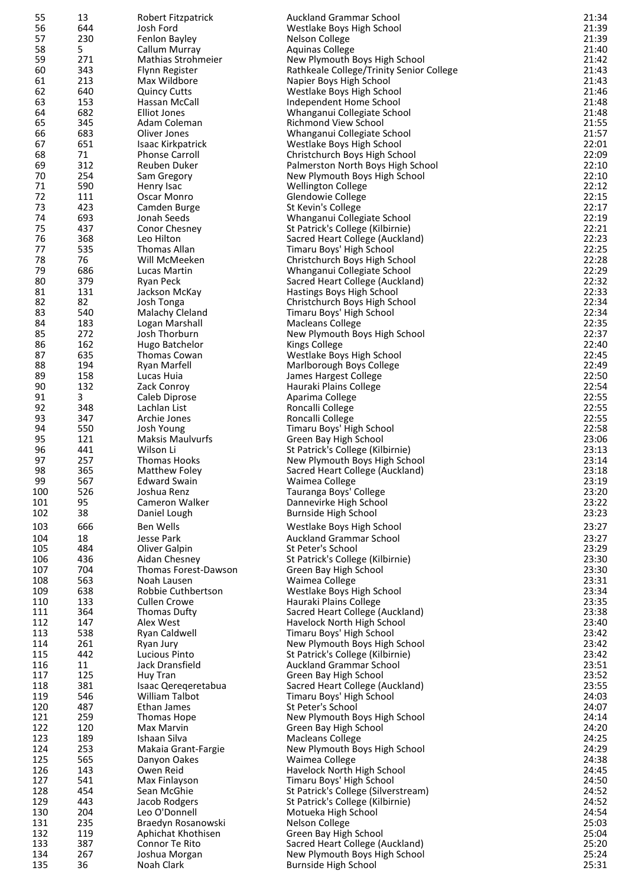| 55  | 13  | Robert Fitzpatrick      | <b>Auckland Grammar School</b>           | 21:34 |
|-----|-----|-------------------------|------------------------------------------|-------|
| 56  | 644 | Josh Ford               | Westlake Boys High School                | 21:39 |
|     |     |                         |                                          |       |
| 57  | 230 | Fenlon Bayley           | Nelson College                           | 21:39 |
| 58  | 5.  | Callum Murray           | <b>Aquinas College</b>                   | 21:40 |
| 59  | 271 | Mathias Strohmeier      | New Plymouth Boys High School            | 21:42 |
| 60  | 343 | Flynn Register          | Rathkeale College/Trinity Senior College | 21:43 |
| 61  | 213 | Max Wildbore            | Napier Boys High School                  | 21:43 |
| 62  | 640 | <b>Quincy Cutts</b>     | Westlake Boys High School                | 21:46 |
| 63  | 153 | Hassan McCall           | Independent Home School                  | 21:48 |
| 64  | 682 | Elliot Jones            | Whanganui Collegiate School              | 21:48 |
| 65  | 345 | Adam Coleman            | <b>Richmond View School</b>              | 21:55 |
|     |     | Oliver Jones            |                                          |       |
| 66  | 683 |                         | Whanganui Collegiate School              | 21:57 |
| 67  | 651 | Isaac Kirkpatrick       | Westlake Boys High School                | 22:01 |
| 68  | 71  | <b>Phonse Carroll</b>   | Christchurch Boys High School            | 22:09 |
| 69  | 312 | Reuben Duker            | Palmerston North Boys High School        | 22:10 |
| 70  | 254 | Sam Gregory             | New Plymouth Boys High School            | 22:10 |
| 71  | 590 | Henry Isac              | <b>Wellington College</b>                | 22:12 |
| 72  | 111 | Oscar Monro             | Glendowie College                        | 22:15 |
| 73  | 423 | Camden Burge            | St Kevin's College                       | 22:17 |
| 74  | 693 | Jonah Seeds             | Whanganui Collegiate School              | 22:19 |
|     |     |                         |                                          |       |
| 75  | 437 | Conor Chesney           | St Patrick's College (Kilbirnie)         | 22:21 |
| 76  | 368 | Leo Hilton              | Sacred Heart College (Auckland)          | 22:23 |
| 77  | 535 | <b>Thomas Allan</b>     | Timaru Boys' High School                 | 22:25 |
| 78  | 76  | Will McMeeken           | Christchurch Boys High School            | 22:28 |
| 79  | 686 | Lucas Martin            | Whanganui Collegiate School              | 22:29 |
| 80  | 379 | Ryan Peck               | Sacred Heart College (Auckland)          | 22:32 |
| 81  | 131 | Jackson McKay           | Hastings Boys High School                | 22:33 |
| 82  | 82  | Josh Tonga              | Christchurch Boys High School            | 22:34 |
|     |     |                         |                                          |       |
| 83  | 540 | Malachy Cleland         | Timaru Boys' High School                 | 22:34 |
| 84  | 183 | Logan Marshall          | <b>Macleans College</b>                  | 22:35 |
| 85  | 272 | Josh Thorburn           | New Plymouth Boys High School            | 22:37 |
| 86  | 162 | Hugo Batchelor          | <b>Kings College</b>                     | 22:40 |
| 87  | 635 | Thomas Cowan            | Westlake Boys High School                | 22:45 |
| 88  | 194 | Ryan Marfell            | Marlborough Boys College                 | 22:49 |
| 89  | 158 | Lucas Huia              | James Hargest College                    | 22:50 |
| 90  | 132 | Zack Conroy             | Hauraki Plains College                   | 22:54 |
|     |     |                         |                                          | 22:55 |
| 91  | 3   | Caleb Diprose           | Aparima College                          |       |
| 92  | 348 | Lachlan List            | Roncalli College                         | 22:55 |
| 93  | 347 | Archie Jones            | Roncalli College                         | 22:55 |
| 94  | 550 | Josh Young              | Timaru Boys' High School                 | 22:58 |
| 95  | 121 | <b>Maksis Maulvurfs</b> | Green Bay High School                    | 23:06 |
| 96  | 441 | Wilson Li               | St Patrick's College (Kilbirnie)         | 23:13 |
| 97  | 257 | <b>Thomas Hooks</b>     | New Plymouth Boys High School            | 23:14 |
| 98  | 365 | Matthew Foley           | Sacred Heart College (Auckland)          | 23:18 |
|     |     |                         |                                          |       |
| 99  | 567 | <b>Edward Swain</b>     | Waimea College                           | 23:19 |
| 100 | 526 | Joshua Renz             | Tauranga Boys' College                   | 23:20 |
| 101 | 95  | Cameron Walker          | Dannevirke High School                   | 23:22 |
| 102 | 38  | Daniel Lough            | <b>Burnside High School</b>              | 23:23 |
| 103 | 666 | <b>Ben Wells</b>        | Westlake Boys High School                | 23:27 |
|     |     |                         |                                          |       |
| 104 | 18  | Jesse Park              | <b>Auckland Grammar School</b>           | 23:27 |
| 105 | 484 | Oliver Galpin           | St Peter's School                        | 23:29 |
| 106 | 436 | Aidan Chesney           | St Patrick's College (Kilbirnie)         | 23:30 |
| 107 | 704 | Thomas Forest-Dawson    | Green Bay High School                    | 23:30 |
| 108 | 563 | Noah Lausen             | Waimea College                           | 23:31 |
| 109 | 638 | Robbie Cuthbertson      | Westlake Boys High School                | 23:34 |
| 110 | 133 | <b>Cullen Crowe</b>     | Hauraki Plains College                   | 23:35 |
| 111 | 364 | <b>Thomas Dufty</b>     | Sacred Heart College (Auckland)          | 23:38 |
|     | 147 | Alex West               |                                          | 23:40 |
| 112 |     |                         | Havelock North High School               |       |
| 113 | 538 | Ryan Caldwell           | Timaru Boys' High School                 | 23:42 |
| 114 | 261 | Ryan Jury               | New Plymouth Boys High School            | 23:42 |
| 115 | 442 | Lucious Pinto           | St Patrick's College (Kilbirnie)         | 23:42 |
| 116 | 11  | Jack Dransfield         | <b>Auckland Grammar School</b>           | 23:51 |
| 117 | 125 | Huy Tran                | Green Bay High School                    | 23:52 |
| 118 | 381 | Isaac Qereqeretabua     | Sacred Heart College (Auckland)          | 23:55 |
| 119 | 546 | William Talbot          | Timaru Boys' High School                 | 24:03 |
| 120 | 487 | Ethan James             | St Peter's School                        | 24:07 |
| 121 | 259 | Thomas Hope             | New Plymouth Boys High School            | 24:14 |
| 122 |     | Max Marvin              |                                          | 24:20 |
|     | 120 |                         | Green Bay High School                    |       |
| 123 | 189 | Ishaan Silva            | <b>Macleans College</b>                  | 24:25 |
| 124 | 253 | Makaia Grant-Fargie     | New Plymouth Boys High School            | 24:29 |
| 125 | 565 | Danyon Oakes            | Waimea College                           | 24:38 |
| 126 | 143 | Owen Reid               | Havelock North High School               | 24:45 |
| 127 | 541 | Max Finlayson           | Timaru Boys' High School                 | 24:50 |
| 128 | 454 | Sean McGhie             | St Patrick's College (Silverstream)      | 24:52 |
| 129 | 443 | Jacob Rodgers           | St Patrick's College (Kilbirnie)         | 24:52 |
| 130 | 204 | Leo O'Donnell           | Motueka High School                      | 24:54 |
|     |     |                         |                                          |       |
| 131 | 235 | Braedyn Rosanowski      | Nelson College                           | 25:03 |
| 132 | 119 | Aphichat Khothisen      | Green Bay High School                    | 25:04 |
| 133 | 387 | Connor Te Rito          | Sacred Heart College (Auckland)          | 25:20 |
| 134 | 267 | Joshua Morgan           | New Plymouth Boys High School            | 25:24 |
| 135 | 36  | Noah Clark              | Burnside High School                     | 25:31 |